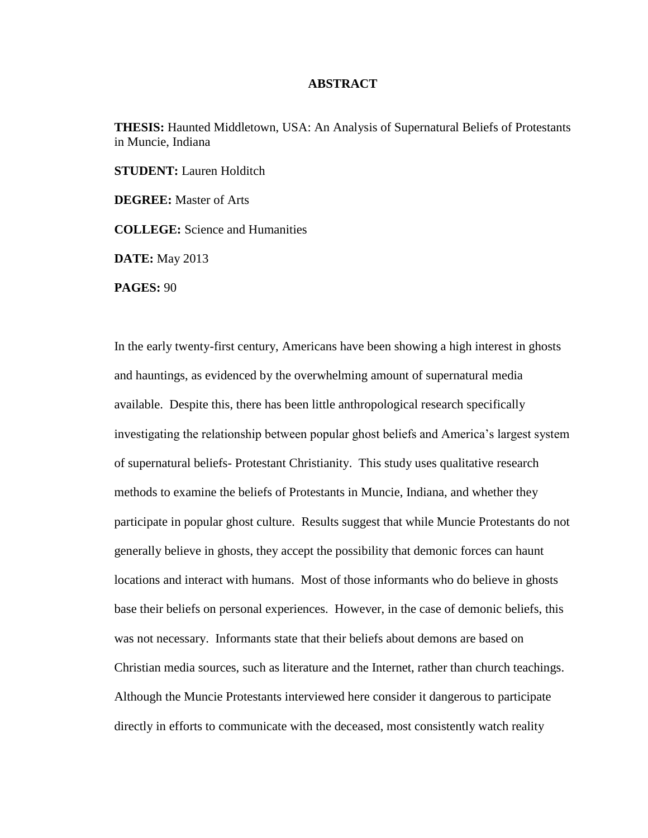## **ABSTRACT**

**THESIS:** Haunted Middletown, USA: An Analysis of Supernatural Beliefs of Protestants in Muncie, Indiana

**STUDENT:** Lauren Holditch

**DEGREE:** Master of Arts

**COLLEGE:** Science and Humanities

**DATE:** May 2013

**PAGES:** 90

In the early twenty-first century, Americans have been showing a high interest in ghosts and hauntings, as evidenced by the overwhelming amount of supernatural media available. Despite this, there has been little anthropological research specifically investigating the relationship between popular ghost beliefs and America's largest system of supernatural beliefs- Protestant Christianity. This study uses qualitative research methods to examine the beliefs of Protestants in Muncie, Indiana, and whether they participate in popular ghost culture. Results suggest that while Muncie Protestants do not generally believe in ghosts, they accept the possibility that demonic forces can haunt locations and interact with humans. Most of those informants who do believe in ghosts base their beliefs on personal experiences. However, in the case of demonic beliefs, this was not necessary. Informants state that their beliefs about demons are based on Christian media sources, such as literature and the Internet, rather than church teachings. Although the Muncie Protestants interviewed here consider it dangerous to participate directly in efforts to communicate with the deceased, most consistently watch reality